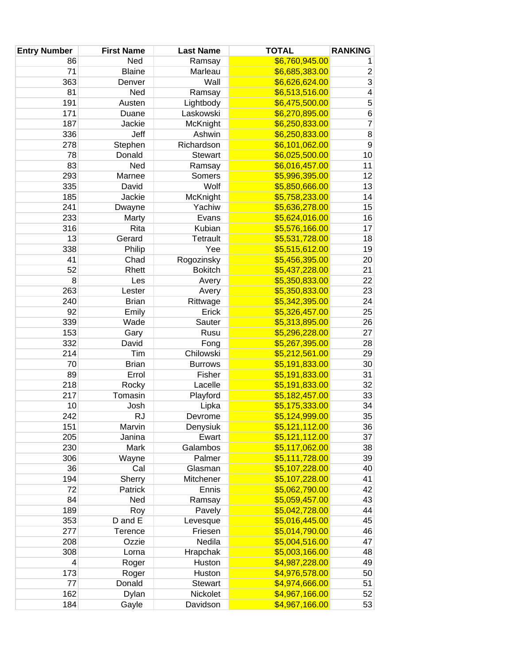| <b>Entry Number</b> | <b>First Name</b> | <b>Last Name</b>         | <b>TOTAL</b>                     | <b>RANKING</b> |
|---------------------|-------------------|--------------------------|----------------------------------|----------------|
| 86                  | Ned               | Ramsay                   | \$6,760,945.00                   | 1              |
| 71                  | <b>Blaine</b>     | Marleau                  | \$6,685,383.00                   | $\overline{2}$ |
| 363                 | Denver            | Wall                     | \$6,626,624.00                   | $\sqrt{3}$     |
| 81                  | Ned               | Ramsay                   | \$6,513,516.00                   | 4              |
| 191                 | Austen            | Lightbody                | \$6,475,500.00                   | 5              |
| 171                 | Duane             | Laskowski                | \$6,270,895.00                   | 6              |
| 187                 | Jackie            | McKnight                 | \$6,250,833.00                   | $\overline{7}$ |
| 336                 | Jeff              | Ashwin                   | \$6,250,833.00                   | $\bf 8$        |
| 278                 | Stephen           | Richardson               | \$6,101,062.00                   | $\overline{9}$ |
| 78                  | Donald            | <b>Stewart</b>           | \$6,025,500.00                   | 10             |
| 83                  | Ned               | Ramsay                   | \$6,016,457.00                   | 11             |
| 293                 | Marnee            | Somers                   | \$5,996,395.00                   | 12             |
| 335                 | David             | Wolf                     | \$5,850,666.00                   | 13             |
| 185                 | Jackie            | McKnight                 | \$5,758,233.00                   | 14             |
| 241                 | Dwayne            | Yachiw                   | \$5,636,278.00                   | 15             |
| 233                 | Marty             | Evans                    | \$5,624,016.00                   | 16             |
| 316                 | Rita              | Kubian                   | \$5,576,166.00                   | 17             |
| 13                  | Gerard            | <b>Tetrault</b>          | \$5,531,728.00                   | 18             |
| 338                 | Philip            | Yee                      | \$5,515,612.00                   | 19             |
| 41                  | Chad              | Rogozinsky               | \$5,456,395.00                   | 20             |
| 52                  | Rhett             | <b>Bokitch</b>           | \$5,437,228.00                   | 21             |
| 8                   | Les               | Avery                    | \$5,350,833.00                   | 22             |
| 263                 | Lester            | Avery                    | \$5,350,833.00                   | 23             |
| 240                 | <b>Brian</b>      | Rittwage                 | \$5,342,395.00                   | 24             |
| 92                  | Emily             | Erick                    | \$5,326,457.00                   | 25             |
| 339                 | Wade              | Sauter                   | \$5,313,895.00                   | 26             |
| 153                 | Gary              | Rusu                     | \$5,296,228.00                   | 27             |
| 332                 | David             | Fong                     | \$5,267,395.00                   | 28             |
| 214                 | Tim               | Chilowski                | \$5,212,561.00                   | 29             |
| 70                  | <b>Brian</b>      | <b>Burrows</b>           | \$5,191,833.00                   | $30\,$         |
| 89                  | Errol             | Fisher                   | \$5,191,833.00                   | 31             |
| 218                 | Rocky             | Lacelle                  | \$5,191,833.00                   | 32             |
| 217                 | Tomasin           | Playford                 | \$5,182,457.00                   | 33             |
| 10                  | Josh              | Lipka                    | \$5,175,333.00                   | 34             |
| 242                 | <b>RJ</b>         | Devrome                  | \$5,124,999.00                   | 35             |
| 151                 | Marvin            | Denysiuk                 | \$5,121,112.00                   | 36             |
| 205                 | Janina            | Ewart                    | \$5,121,112.00                   | 37             |
| 230                 | Mark              | Galambos                 | \$5,117,062.00                   | 38             |
| 306                 | Wayne             | Palmer                   | \$5,111,728.00                   | 39             |
| 36                  | Cal               | Glasman                  | \$5,107,228.00                   | 40             |
| 194                 | Sherry            | Mitchener                | \$5,107,228.00                   | 41             |
| 72                  | Patrick           | Ennis                    | \$5,062,790.00                   | 42             |
| 84                  | Ned               | Ramsay                   | \$5,059,457.00                   | 43             |
| 189                 | Roy               | Pavely                   | \$5,042,728.00                   | 44             |
| 353                 | D and E           | Levesque                 | \$5,016,445.00                   | 45             |
| 277                 | Terence           | Friesen                  | \$5,014,790.00                   | 46             |
| 208                 | Ozzie             | Nedila                   | \$5,004,516.00                   | 47             |
| 308                 | Lorna             | Hrapchak                 | \$5,003,166.00                   | 48             |
| 4                   | Roger             | Huston                   | \$4,987,228.00                   | 49             |
| 173<br>77           | Roger<br>Donald   | Huston<br><b>Stewart</b> | \$4,976,578.00<br>\$4,974,666.00 | 50<br>51       |
| 162                 | Dylan             | Nickolet                 | \$4,967,166.00                   | 52             |
| 184                 | Gayle             | Davidson                 | \$4,967,166.00                   | 53             |
|                     |                   |                          |                                  |                |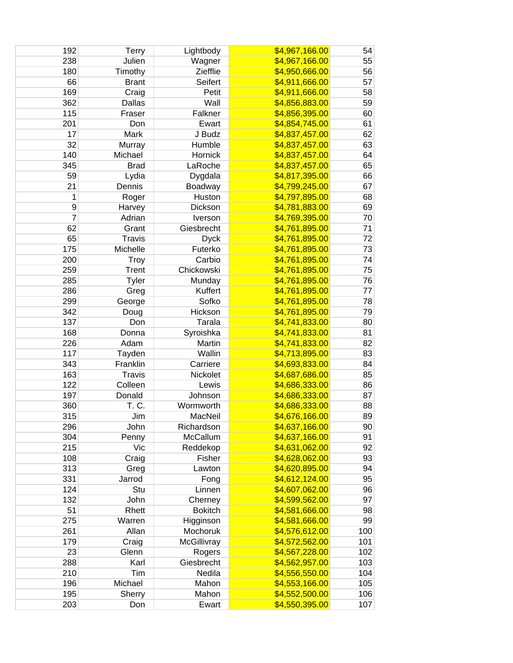| 192            | <b>Terry</b>   | Lightbody      | \$4,967,166.00 | 54  |
|----------------|----------------|----------------|----------------|-----|
| 238            | Julien         | Wagner         | \$4,967,166.00 | 55  |
| 180            | Timothy        | Ziefflie       | \$4,950,666.00 | 56  |
| 66             | <b>Brant</b>   | Seifert        | \$4,911,666.00 | 57  |
| 169            | Craig          | Petit          | \$4,911,666.00 | 58  |
| 362            | Dallas         | Wall           | \$4,856,883.00 | 59  |
| 115            | Fraser         | Falkner        | \$4,856,395.00 | 60  |
| 201            | Don            | Ewart          | \$4,854,745.00 | 61  |
| 17             | Mark           | J Budz         | \$4,837,457.00 | 62  |
| 32             | Murray         | Humble         | \$4,837,457.00 | 63  |
| 140            | Michael        | Hornick        | \$4,837,457.00 | 64  |
| 345            | <b>Brad</b>    | LaRoche        | \$4,837,457.00 | 65  |
| 59             | Lydia          | Dygdala        | \$4,817,395.00 | 66  |
| 21             | Dennis         | Boadway        | \$4,799,245.00 | 67  |
| 1              | Roger          | Huston         | \$4,797,895.00 | 68  |
| 9              | Harvey         | Dickson        | \$4,781,883.00 | 69  |
| $\overline{7}$ | Adrian         | Iverson        | \$4,769,395.00 | 70  |
| 62             | Grant          | Giesbrecht     | \$4,761,895.00 | 71  |
| 65             | Travis         | <b>Dyck</b>    | \$4,761,895.00 | 72  |
| 175            | Michelle       | Futerko        | \$4,761,895.00 | 73  |
| 200            | <b>Troy</b>    | Carbio         | \$4,761,895.00 | 74  |
| 259            | <b>Trent</b>   | Chickowski     | \$4,761,895.00 | 75  |
| 285            | <b>Tyler</b>   | Munday         | \$4,761,895.00 | 76  |
| 286            | Greg           | Kuffert        | \$4,761,895.00 | 77  |
| 299            | George         | Sofko          | \$4,761,895.00 | 78  |
| 342            | Doug           | Hickson        | \$4,761,895.00 | 79  |
| 137            | Don            | Tarala         | \$4,741,833.00 | 80  |
| 168            | Donna          | Syroishka      | \$4,741,833.00 | 81  |
| 226            | Adam           | Martin         | \$4,741,833.00 | 82  |
| 117            | Tayden         | Wallin         | \$4,713,895.00 | 83  |
| 343            | Franklin       | Carriere       | \$4,693,833.00 | 84  |
| 163            | <b>Travis</b>  | Nickolet       | \$4,687,686.00 | 85  |
| 122            | Colleen        | Lewis          | \$4,686,333.00 | 86  |
| 197            | Donald         | Johnson        | \$4,686,333.00 | 87  |
| 360            | T. C.          | Wormworth      | \$4,686,333.00 | 88  |
| 315            | Jim            | MacNeil        | \$4,676,166.00 | 89  |
| 296            | John           | Richardson     | \$4,637,166.00 | 90  |
| 304            | Penny          | McCallum       | \$4,637,166.00 | 91  |
| 215            | Vic            | Reddekop       | \$4,631,062.00 | 92  |
| 108            |                | Fisher         | \$4,628,062.00 | 93  |
| 313            | Craig          | Lawton         | \$4,620,895.00 | 94  |
| 331            | Greg<br>Jarrod |                |                | 95  |
| 124            |                | Fong           | \$4,612,124.00 |     |
|                | Stu<br>John    | Linnen         | \$4,607,062.00 | 96  |
| 132            |                | Cherney        | \$4,599,562.00 | 97  |
| 51             | Rhett          | <b>Bokitch</b> | \$4,581,666.00 | 98  |
| 275            | Warren         | Higginson      | \$4,581,666.00 | 99  |
| 261            | Allan          | Mochoruk       | \$4,576,612.00 | 100 |
| 179            | Craig          | McGillivray    | \$4,572,562.00 | 101 |
| 23             | Glenn          | Rogers         | \$4,567,228.00 | 102 |
| 288            | Karl           | Giesbrecht     | \$4,562,957.00 | 103 |
| 210            | Tim            | Nedila         | \$4,556,550.00 | 104 |
| 196            | Michael        | Mahon          | \$4,553,166.00 | 105 |
| 195            | Sherry         | Mahon          | \$4,552,500.00 | 106 |
| 203            | Don            | Ewart          | \$4,550,395.00 | 107 |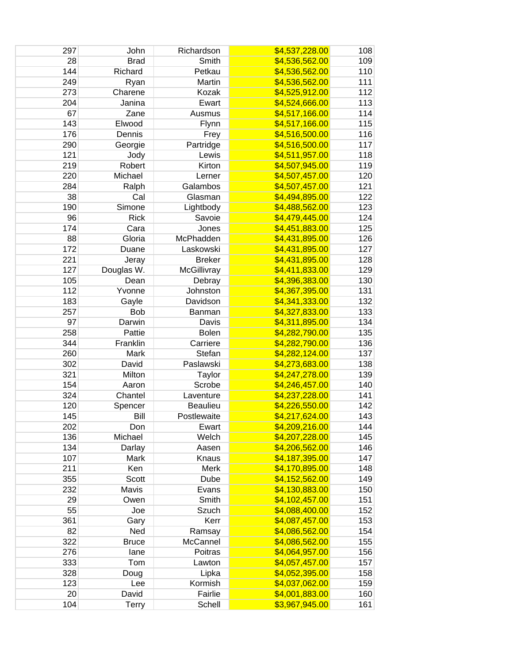| 297 | John         | Richardson      | \$4,537,228.00 | 108 |
|-----|--------------|-----------------|----------------|-----|
| 28  | <b>Brad</b>  | Smith           | \$4,536,562.00 | 109 |
| 144 | Richard      | Petkau          | \$4,536,562.00 | 110 |
| 249 | Ryan         | Martin          | \$4,536,562.00 | 111 |
| 273 | Charene      | Kozak           | \$4,525,912.00 | 112 |
| 204 | Janina       | Ewart           | \$4,524,666.00 | 113 |
| 67  | Zane         | Ausmus          | \$4,517,166.00 | 114 |
| 143 | Elwood       | Flynn           | \$4,517,166.00 | 115 |
| 176 | Dennis       | Frey            | \$4,516,500.00 | 116 |
| 290 | Georgie      | Partridge       | \$4,516,500.00 | 117 |
| 121 | Jody         | Lewis           | \$4,511,957.00 | 118 |
| 219 | Robert       | Kirton          | \$4,507,945.00 | 119 |
| 220 | Michael      | Lerner          | \$4,507,457.00 | 120 |
| 284 | Ralph        | Galambos        | \$4,507,457.00 | 121 |
| 38  | Cal          | Glasman         | \$4,494,895.00 | 122 |
| 190 | Simone       | Lightbody       | \$4,488,562.00 | 123 |
| 96  | <b>Rick</b>  | Savoie          | \$4,479,445.00 | 124 |
| 174 | Cara         | Jones           | \$4,451,883.00 | 125 |
| 88  | Gloria       | McPhadden       | \$4,431,895.00 | 126 |
| 172 | Duane        | Laskowski       | \$4,431,895.00 | 127 |
| 221 | Jeray        | <b>Breker</b>   | \$4,431,895.00 | 128 |
| 127 | Douglas W.   | McGillivray     | \$4,411,833.00 | 129 |
| 105 | Dean         | Debray          | \$4,396,383.00 | 130 |
| 112 | Yvonne       | Johnston        | \$4,367,395.00 | 131 |
| 183 | Gayle        | Davidson        | \$4,341,333.00 | 132 |
| 257 | <b>Bob</b>   | Banman          | \$4,327,833.00 | 133 |
| 97  | Darwin       | Davis           | \$4,311,895.00 | 134 |
| 258 | Pattie       | <b>Bolen</b>    | \$4,282,790.00 | 135 |
| 344 | Franklin     | Carriere        | \$4,282,790.00 | 136 |
| 260 | Mark         | Stefan          | \$4,282,124.00 | 137 |
| 302 | David        | Paslawski       | \$4,273,683.00 | 138 |
| 321 | Milton       | Taylor          | \$4,247,278.00 | 139 |
| 154 | Aaron        | Scrobe          | \$4,246,457.00 | 140 |
| 324 | Chantel      | Laventure       | \$4,237,228.00 | 141 |
| 120 | Spencer      | <b>Beaulieu</b> | \$4,226,550.00 | 142 |
| 145 | Bill         | Postlewaite     | \$4,217,624.00 | 143 |
| 202 | Don          | Ewart           | \$4,209,216.00 | 144 |
| 136 | Michael      | Welch           | \$4,207,228.00 | 145 |
| 134 | Darlay       | Aasen           | \$4,206,562.00 | 146 |
| 107 | Mark         | Knaus           | \$4,187,395.00 | 147 |
| 211 | Ken          | Merk            | \$4,170,895.00 | 148 |
| 355 | <b>Scott</b> | Dube            | \$4,152,562.00 | 149 |
| 232 | Mavis        | Evans           | \$4,130,883.00 | 150 |
| 29  | Owen         | Smith           | \$4,102,457.00 | 151 |
| 55  | Joe          | Szuch           | \$4,088,400.00 | 152 |
| 361 | Gary         | Kerr            | \$4,087,457.00 | 153 |
| 82  | Ned          | Ramsay          | \$4,086,562.00 | 154 |
| 322 | <b>Bruce</b> | McCannel        | \$4,086,562.00 | 155 |
| 276 | lane         | Poitras         | \$4,064,957.00 | 156 |
| 333 | Tom          | Lawton          | \$4,057,457.00 | 157 |
| 328 | Doug         | Lipka           | \$4,052,395.00 | 158 |
| 123 | Lee          | Kormish         | \$4,037,062.00 | 159 |
| 20  | David        | Fairlie         | \$4,001,883.00 | 160 |
| 104 | <b>Terry</b> | Schell          | \$3,967,945.00 | 161 |
|     |              |                 |                |     |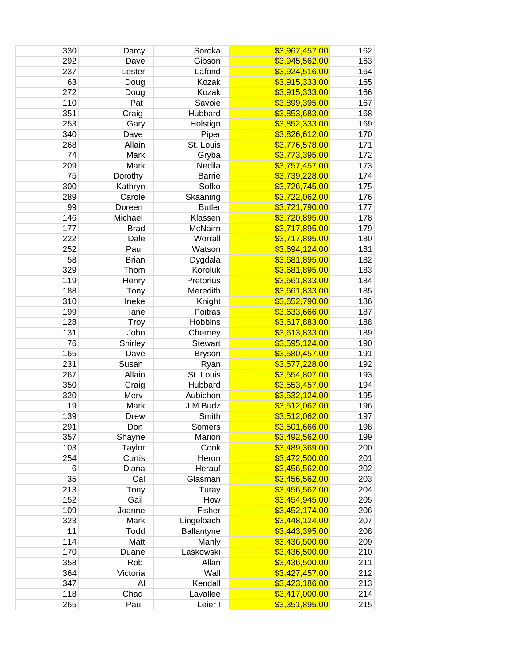| 330 | Darcy        | Soroka         | \$3,967,457.00 | 162 |
|-----|--------------|----------------|----------------|-----|
| 292 | Dave         | Gibson         | \$3,945,562.00 | 163 |
| 237 | Lester       | Lafond         | \$3,924,516.00 | 164 |
| 63  | Doug         | Kozak          | \$3,915,333.00 | 165 |
| 272 | Doug         | Kozak          | \$3,915,333.00 | 166 |
| 110 | Pat          | Savoie         | \$3,899,395.00 | 167 |
| 351 | Craig        | Hubbard        | \$3,853,683.00 | 168 |
| 253 | Gary         | Holstign       | \$3,852,333.00 | 169 |
| 340 | Dave         | Piper          | \$3,826,612.00 | 170 |
| 268 | Allain       | St. Louis      | \$3,776,578.00 | 171 |
| 74  | Mark         | Gryba          | \$3,773,395.00 | 172 |
| 209 | Mark         | Nedila         | \$3,757,457.00 | 173 |
| 75  | Dorothy      | <b>Barrie</b>  | \$3,739,228.00 | 174 |
| 300 | Kathryn      | Sofko          | \$3,726,745.00 | 175 |
| 289 | Carole       | Skaaning       | \$3,722,062.00 | 176 |
| 99  | Doreen       | <b>Butler</b>  | \$3,721,790.00 | 177 |
| 146 | Michael      | Klassen        | \$3,720,895.00 | 178 |
| 177 | <b>Brad</b>  | McNairn        | \$3,717,895.00 | 179 |
| 222 | Dale         | Worrall        | \$3,717,895.00 | 180 |
| 252 | Paul         | Watson         | \$3,694,124.00 | 181 |
| 58  | <b>Brian</b> | Dygdala        | \$3,681,895.00 | 182 |
| 329 | Thom         | Koroluk        | \$3,681,895.00 | 183 |
| 119 | Henry        | Pretorius      | \$3,661,833.00 | 184 |
| 188 | Tony         | Meredith       | \$3,661,833.00 | 185 |
| 310 | Ineke        | Knight         | \$3,652,790.00 | 186 |
| 199 | lane         | Poitras        | \$3,633,666.00 | 187 |
| 128 | Troy         | <b>Hobbins</b> | \$3,617,883.00 | 188 |
| 131 | John         | Cherney        | \$3,613,833.00 | 189 |
| 76  | Shirley      | <b>Stewart</b> | \$3,595,124.00 | 190 |
| 165 | Dave         | <b>Bryson</b>  | \$3,580,457.00 | 191 |
| 231 | Susan        | Ryan           | \$3,577,228.00 | 192 |
| 267 | Allain       | St. Louis      | \$3,554,807.00 | 193 |
| 350 | Craig        | Hubbard        | \$3,553,457.00 | 194 |
| 320 | Merv         | Aubichon       | \$3,532,124.00 | 195 |
| 19  | Mark         | J M Budz       | \$3,512,062.00 | 196 |
| 139 | Drew         | Smith          | \$3,512,062.00 | 197 |
| 291 | Don          | Somers         | \$3,501,666.00 | 198 |
| 357 | Shayne       | Marion         | \$3,492,562.00 | 199 |
| 103 | Taylor       | Cook           | \$3,489,369.00 | 200 |
| 254 | Curtis       | Heron          | \$3,472,500.00 | 201 |
| 6   | Diana        | Herauf         | \$3,456,562.00 | 202 |
| 35  | Cal          | Glasman        | \$3,456,562.00 | 203 |
| 213 | Tony         | Turay          | \$3,456,562.00 | 204 |
| 152 | Gail         | How            | \$3,454,945.00 | 205 |
| 109 | Joanne       | Fisher         | \$3,452,174.00 | 206 |
| 323 | Mark         | Lingelbach     | \$3,448,124.00 | 207 |
| 11  | Todd         | Ballantyne     | \$3,443,395.00 | 208 |
| 114 | Matt         | Manly          | \$3,436,500.00 | 209 |
| 170 | Duane        | Laskowski      | \$3,436,500.00 | 210 |
| 358 | Rob          | Allan          | \$3,436,500.00 | 211 |
| 364 | Victoria     | Wall           | \$3,427,457.00 | 212 |
| 347 | Al           | Kendall        | \$3,423,186.00 | 213 |
| 118 | Chad         | Lavallee       | \$3,417,000.00 | 214 |
| 265 | Paul         | Leier I        | \$3,351,895.00 | 215 |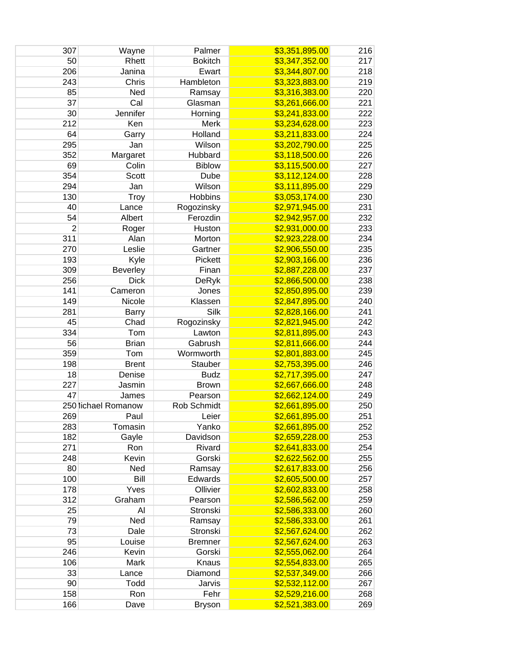| 307            | Wayne               | Palmer         | \$3,351,895.00 | 216 |
|----------------|---------------------|----------------|----------------|-----|
| 50             | Rhett               | <b>Bokitch</b> | \$3,347,352.00 | 217 |
| 206            | Janina              | Ewart          | \$3,344,807.00 | 218 |
| 243            | Chris               | Hambleton      | \$3,323,883.00 | 219 |
| 85             | Ned                 | Ramsay         | \$3,316,383.00 | 220 |
| 37             | Cal                 | Glasman        | \$3,261,666.00 | 221 |
| 30             | Jennifer            | Horning        | \$3,241,833.00 | 222 |
| 212            | Ken                 | Merk           | \$3,234,628.00 | 223 |
| 64             | Garry               | Holland        | \$3,211,833.00 | 224 |
| 295            | Jan                 | Wilson         | \$3,202,790.00 | 225 |
| 352            | Margaret            | Hubbard        | \$3,118,500.00 | 226 |
| 69             | Colin               | <b>Biblow</b>  | \$3,115,500.00 | 227 |
| 354            | Scott               | Dube           | \$3,112,124.00 | 228 |
| 294            | Jan                 | Wilson         | \$3,111,895.00 | 229 |
| 130            | <b>Troy</b>         | <b>Hobbins</b> | \$3,053,174.00 | 230 |
| 40             | Lance               | Rogozinsky     | \$2,971,945.00 | 231 |
| 54             | Albert              | Ferozdin       | \$2,942,957.00 | 232 |
| $\overline{2}$ | Roger               | Huston         | \$2,931,000.00 | 233 |
| 311            | Alan                | Morton         | \$2,923,228.00 | 234 |
| 270            | Leslie              | Gartner        | \$2,906,550.00 | 235 |
| 193            | Kyle                | Pickett        | \$2,903,166.00 | 236 |
| 309            | Beverley            | Finan          | \$2,887,228.00 | 237 |
| 256            | <b>Dick</b>         |                | \$2,866,500.00 | 238 |
| 141            |                     | DeRyk<br>Jones |                | 239 |
| 149            | Cameron             |                | \$2,850,895.00 |     |
|                | Nicole              | Klassen        | \$2,847,895.00 | 240 |
| 281            | <b>Barry</b>        | Silk           | \$2,828,166.00 | 241 |
| 45             | Chad                | Rogozinsky     | \$2,821,945.00 | 242 |
| 334            | Tom                 | Lawton         | \$2,811,895.00 | 243 |
| 56             | <b>Brian</b>        | Gabrush        | \$2,811,666.00 | 244 |
| 359            | Tom                 | Wormworth      | \$2,801,883.00 | 245 |
| 198            | <b>Brent</b>        | Stauber        | \$2,753,395.00 | 246 |
| 18             | Denise              | <b>Budz</b>    | \$2,717,395.00 | 247 |
| 227            | Jasmin              | <b>Brown</b>   | \$2,667,666.00 | 248 |
| 47             | James               | Pearson        | \$2,662,124.00 | 249 |
|                | 250 lichael Romanow | Rob Schmidt    | \$2,661,895.00 | 250 |
| 269            | Paul                | Leier          | \$2,661,895.00 | 251 |
| 283            | Tomasin             | Yanko          | \$2,661,895.00 | 252 |
| 182            | Gayle               | Davidson       | \$2,659,228.00 | 253 |
| 271            | Ron                 | Rivard         | \$2,641,833.00 | 254 |
| 248            | Kevin               | Gorski         | \$2,622,562.00 | 255 |
| 80             | Ned                 | Ramsay         | \$2,617,833.00 | 256 |
| 100            | Bill                | Edwards        | \$2,605,500.00 | 257 |
| 178            | Yves                | Ollivier       | \$2,602,833.00 | 258 |
| 312            | Graham              | Pearson        | \$2,586,562.00 | 259 |
| 25             | Al                  | Stronski       | \$2,586,333.00 | 260 |
| 79             | Ned                 | Ramsay         | \$2,586,333.00 | 261 |
| 73             | Dale                | Stronski       | \$2,567,624.00 | 262 |
| 95             | Louise              | <b>Bremner</b> | \$2,567,624.00 | 263 |
| 246            | Kevin               | Gorski         | \$2,555,062.00 | 264 |
| 106            | Mark                | Knaus          | \$2,554,833.00 | 265 |
| 33             | Lance               | Diamond        | \$2,537,349.00 | 266 |
| 90             | Todd                | Jarvis         | \$2,532,112.00 | 267 |
| 158            | Ron                 | Fehr           | \$2,529,216.00 | 268 |
| 166            | Dave                | <b>Bryson</b>  | \$2,521,383.00 | 269 |
|                |                     |                |                |     |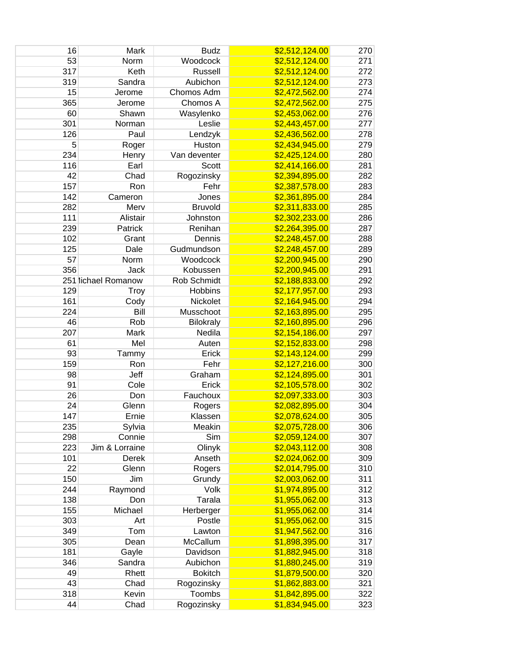| 16        | Mark                    | <b>Budz</b>      | \$2,512,124.00 | 270 |
|-----------|-------------------------|------------------|----------------|-----|
| 53        | Norm                    | Woodcock         | \$2,512,124.00 | 271 |
| 317       | Keth                    | Russell          | \$2,512,124.00 | 272 |
| 319       | Sandra                  | Aubichon         | \$2,512,124.00 | 273 |
| 15        | Jerome                  | Chomos Adm       | \$2,472,562.00 | 274 |
| 365       | Jerome                  | Chomos A         | \$2,472,562.00 | 275 |
| 60        | Shawn                   | Wasylenko        | \$2,453,062.00 | 276 |
| 301       | Norman                  | Leslie           | \$2,443,457.00 | 277 |
| 126       | Paul                    | Lendzyk          | \$2,436,562.00 | 278 |
| 5         | Roger                   | Huston           | \$2,434,945.00 | 279 |
| 234       | Henry                   | Van deventer     | \$2,425,124.00 | 280 |
| 116       | Earl                    | <b>Scott</b>     | \$2,414,166.00 | 281 |
| 42        | Chad                    | Rogozinsky       | \$2,394,895.00 | 282 |
| 157       | Ron                     | Fehr             | \$2,387,578.00 | 283 |
| 142       | Cameron                 | Jones            | \$2,361,895.00 | 284 |
| 282       | Merv                    | <b>Bruvold</b>   | \$2,311,833.00 | 285 |
| 111       | Alistair                | Johnston         | \$2,302,233.00 | 286 |
| 239       | Patrick                 | Renihan          | \$2,264,395.00 | 287 |
| 102       | Grant                   | Dennis           | \$2,248,457.00 | 288 |
| 125       | Dale                    | Gudmundson       | \$2,248,457.00 | 289 |
| 57        | Norm                    | Woodcock         | \$2,200,945.00 | 290 |
| 356       | <b>Jack</b>             | Kobussen         | \$2,200,945.00 | 291 |
|           | 251 lichael Romanow     | Rob Schmidt      | \$2,188,833.00 | 292 |
| 129       | Troy                    | Hobbins          | \$2,177,957.00 | 293 |
| 161       | Cody                    | Nickolet         | \$2,164,945.00 | 294 |
| 224       | Bill                    | Musschoot        | \$2,163,895.00 | 295 |
| 46        | Rob                     | <b>Bilokraly</b> | \$2,160,895.00 | 296 |
| 207       | Mark                    | Nedila           | \$2,154,186.00 | 297 |
| 61        | Mel                     | Auten            | \$2,152,833.00 | 298 |
| 93        | Tammy                   | Erick            | \$2,143,124.00 | 299 |
| 159       | Ron                     | Fehr             | \$2,127,216.00 | 300 |
| 98        | Jeff                    | Graham           | \$2,124,895.00 | 301 |
| 91        | Cole                    | Erick            | \$2,105,578.00 | 302 |
| 26        | Don                     | Fauchoux         | \$2,097,333.00 | 303 |
| 24        | Glenn                   | Rogers           | \$2,082,895.00 | 304 |
| 147       | Ernie                   | Klassen          | \$2,078,624.00 | 305 |
| 235       | Sylvia                  | Meakin           | \$2,075,728.00 | 306 |
| 298       | Connie                  | Sim              | \$2,059,124.00 | 307 |
|           |                         |                  |                |     |
| 223       | Jim & Lorraine<br>Derek | Olinyk           | \$2,043,112.00 | 308 |
| 101<br>22 |                         | Anseth           | \$2,024,062.00 | 309 |
|           | Glenn<br>Jim            | Rogers           | \$2,014,795.00 | 310 |
| 150       |                         | Grundy           | \$2,003,062.00 | 311 |
| 244       | Raymond                 | Volk             | \$1,974,895.00 | 312 |
| 138       | Don                     | Tarala           | \$1,955,062.00 | 313 |
| 155       | Michael                 | Herberger        | \$1,955,062.00 | 314 |
| 303       | Art                     | Postle           | \$1,955,062.00 | 315 |
| 349       | Tom                     | Lawton           | \$1,947,562.00 | 316 |
| 305       | Dean                    | McCallum         | \$1,898,395.00 | 317 |
| 181       | Gayle                   | Davidson         | \$1,882,945.00 | 318 |
| 346       | Sandra                  | Aubichon         | \$1,880,245.00 | 319 |
| 49        | Rhett                   | <b>Bokitch</b>   | \$1,879,500.00 | 320 |
| 43        | Chad                    | Rogozinsky       | \$1,862,883.00 | 321 |
| 318       | Kevin                   | Toombs           | \$1,842,895.00 | 322 |
| 44        | Chad                    | Rogozinsky       | \$1,834,945.00 | 323 |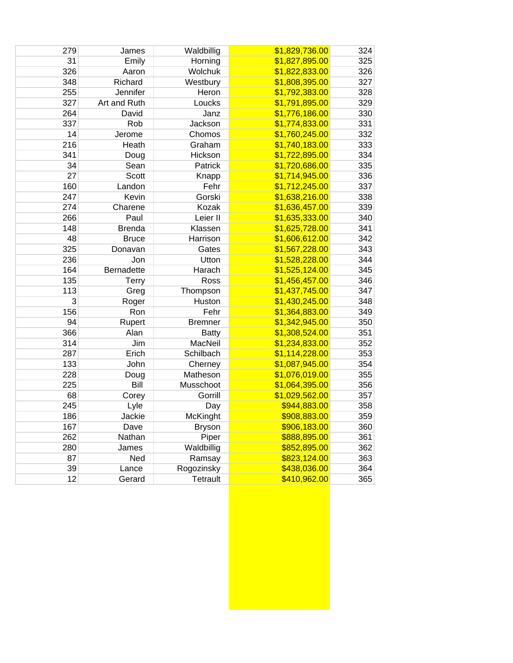| 279 | James         | Waldbillig      | \$1,829,736.00 | 324 |
|-----|---------------|-----------------|----------------|-----|
| 31  | Emily         | Horning         | \$1,827,895.00 | 325 |
| 326 | Aaron         | Wolchuk         | \$1,822,833.00 | 326 |
| 348 | Richard       | Westbury        | \$1,808,395.00 | 327 |
| 255 | Jennifer      | Heron           | \$1,792,383.00 | 328 |
| 327 | Art and Ruth  | Loucks          | \$1,791,895.00 | 329 |
| 264 | David         | Janz            | \$1,776,186.00 | 330 |
| 337 | Rob           | Jackson         | \$1,774,833.00 | 331 |
| 14  | Jerome        | Chomos          | \$1,760,245.00 | 332 |
| 216 | Heath         | Graham          | \$1,740,183.00 | 333 |
| 341 | Doug          | Hickson         | \$1,722,895.00 | 334 |
| 34  | Sean          | Patrick         | \$1,720,686.00 | 335 |
| 27  | Scott         | Knapp           | \$1,714,945.00 | 336 |
| 160 | Landon        | Fehr            | \$1,712,245.00 | 337 |
| 247 | Kevin         | Gorski          | \$1,638,216.00 | 338 |
| 274 | Charene       | Kozak           | \$1,636,457.00 | 339 |
| 266 | Paul          | Leier II        | \$1,635,333.00 | 340 |
| 148 | <b>Brenda</b> | Klassen         | \$1,625,728.00 | 341 |
| 48  | <b>Bruce</b>  | Harrison        | \$1,606,612.00 | 342 |
| 325 | Donavan       | Gates           | \$1,567,228.00 | 343 |
| 236 | Jon           | Utton           | \$1,528,228.00 | 344 |
| 164 | Bernadette    | Harach          | \$1,525,124.00 | 345 |
| 135 | <b>Terry</b>  | Ross            | \$1,456,457.00 | 346 |
| 113 | Greg          | Thompson        | \$1,437,745.00 | 347 |
| 3   | Roger         | Huston          | \$1,430,245.00 | 348 |
| 156 | Ron           | Fehr            | \$1,364,883.00 | 349 |
| 94  | Rupert        | <b>Bremner</b>  | \$1,342,945.00 | 350 |
| 366 | Alan          | <b>Batty</b>    | \$1,308,524.00 | 351 |
| 314 | Jim           | MacNeil         | \$1,234,833.00 | 352 |
| 287 | Erich         | Schilbach       | \$1,114,228.00 | 353 |
| 133 | John          | Cherney         | \$1,087,945.00 | 354 |
| 228 | Doug          | Matheson        | \$1,076,019.00 | 355 |
| 225 | Bill          | Musschoot       | \$1,064,395.00 | 356 |
| 68  | Corey         | Gorrill         | \$1,029,562.00 | 357 |
| 245 | Lyle          | Day             | \$944,883.00   | 358 |
| 186 | Jackie        | <b>McKinght</b> | \$908,883.00   | 359 |
| 167 | Dave          | <b>Bryson</b>   | \$906,183.00   | 360 |
| 262 | Nathan        | Piper           | \$888,895.00   | 361 |
| 280 | James         | Waldbillig      | \$852,895.00   | 362 |
| 87  | Ned           | Ramsay          | \$823,124.00   | 363 |
| 39  | Lance         | Rogozinsky      | \$438,036.00   | 364 |
| 12  | Gerard        | Tetrault        | \$410,962.00   | 365 |
|     |               |                 |                |     |